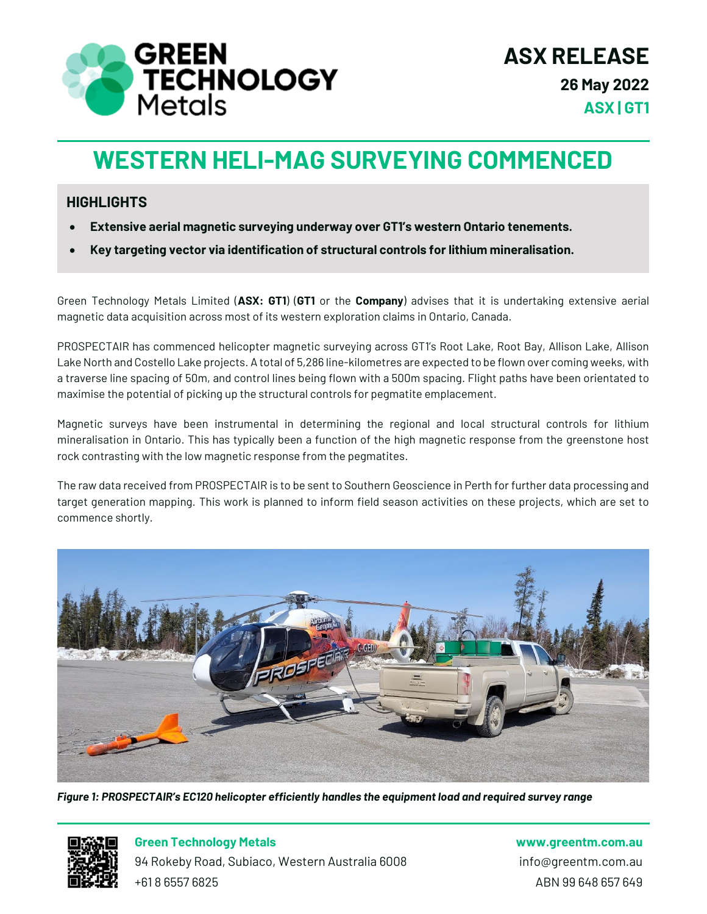

# **WESTERN HELI-MAG SURVEYING COMMENCED**

#### **HIGHLIGHTS**

- **Extensive aerial magnetic surveying underway over GT1's western Ontario tenements.**
- **Key targeting vector via identification of structural controls for lithium mineralisation.**

Green Technology Metals Limited (**ASX: GT1**) (**GT1** or the **Company**) advises that it is undertaking extensive aerial magnetic data acquisition across most of its western exploration claims in Ontario, Canada.

PROSPECTAIR has commenced helicopter magnetic surveying across GT1's Root Lake, Root Bay, Allison Lake, Allison Lake North and Costello Lake projects. A total of 5,286 line-kilometres are expected to be flown over coming weeks, with a traverse line spacing of 50m, and control lines being flown with a 500m spacing. Flight paths have been orientated to maximise the potential of picking up the structural controls for pegmatite emplacement.

Magnetic surveys have been instrumental in determining the regional and local structural controls for lithium mineralisation in Ontario. This has typically been a function of the high magnetic response from the greenstone host rock contrasting with the low magnetic response from the pegmatites.

The raw data received from PROSPECTAIR is to be sent to Southern Geoscience in Perth for further data processing and target generation mapping. This work is planned to inform field season activities on these projects, which are set to commence shortly.



*Figure 1: PROSPECTAIR's EC120 helicopter efficiently handles the equipment load and required survey range*



**Green Technology Metals www.greentm.com.au**

94 Rokeby Road, Subiaco, Western Australia 6008 info@greentm.com.au +61 8 6557 6825 ABN 99 648 657 649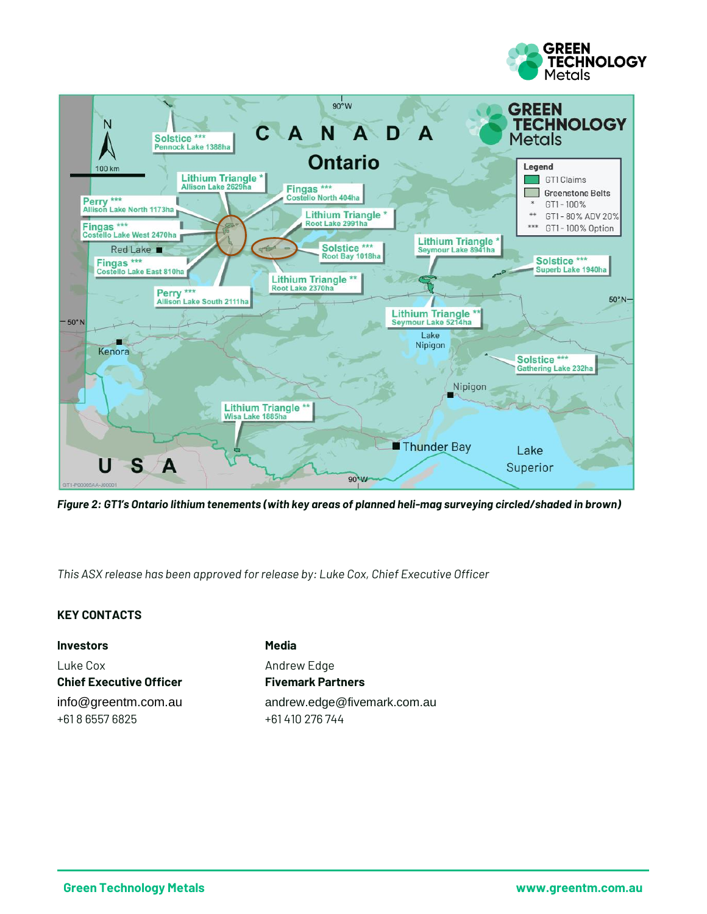



*Figure 2: GT1's Ontario lithium tenements (with key areas of planned heli-mag surveying circled/shaded in brown)*

*This ASX release has been approved for release by: Luke Cox, Chief Executive Officer*

#### **KEY CONTACTS**

**Investors Media** Luke Cox **Andrew Edge Chief Executive Officer Fivemark Partners** +61 8 6557 6825 +61 410 276 744

info@greentm.com.au andrew.edge@fivemark.com.au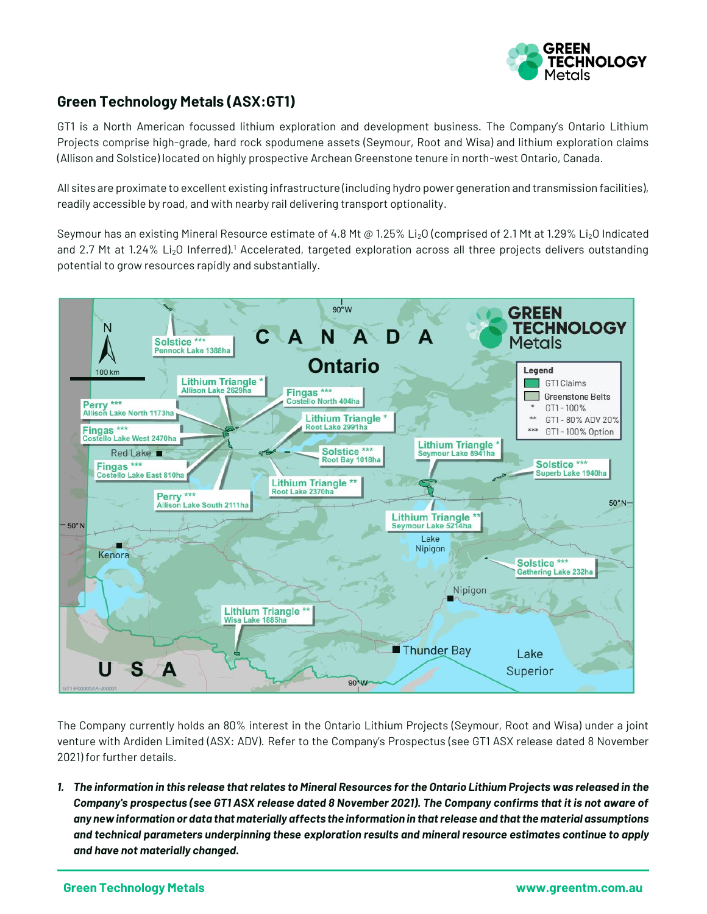

#### **Green Technology Metals (ASX:GT1)**

GT1 is a North American focussed lithium exploration and development business. The Company's Ontario Lithium Projects comprise high-grade, hard rock spodumene assets (Seymour, Root and Wisa) and lithium exploration claims (Allison and Solstice) located on highly prospective Archean Greenstone tenure in north-west Ontario, Canada.

All sites are proximate to excellent existing infrastructure (including hydro power generation and transmission facilities), readily accessible by road, and with nearby rail delivering transport optionality.

Seymour has an existing Mineral Resource estimate of 4.8 Mt @ 1.25% Li<sub>2</sub>O (comprised of 2.1 Mt at 1.29% Li<sub>2</sub>O Indicated and 2.7 Mt at 1.24% Li<sub>2</sub>O Inferred).<sup>1</sup> Accelerated, targeted exploration across all three projects delivers outstanding potential to grow resources rapidly and substantially.



The Company currently holds an 80% interest in the Ontario Lithium Projects (Seymour, Root and Wisa) under a joint venture with Ardiden Limited (ASX: ADV). Refer to the Company's Prospectus (see GT1 ASX release dated 8 November 2021) for further details.

*1. The information in this release that relates to Mineral Resources for the Ontario Lithium Projects was released in the Company's prospectus (see GT1 ASX release dated 8 November 2021). The Company confirms that it is not aware of any new information or data that materially affects the information in that release and that the material assumptions and technical parameters underpinning these exploration results and mineral resource estimates continue to apply and have not materially changed.*